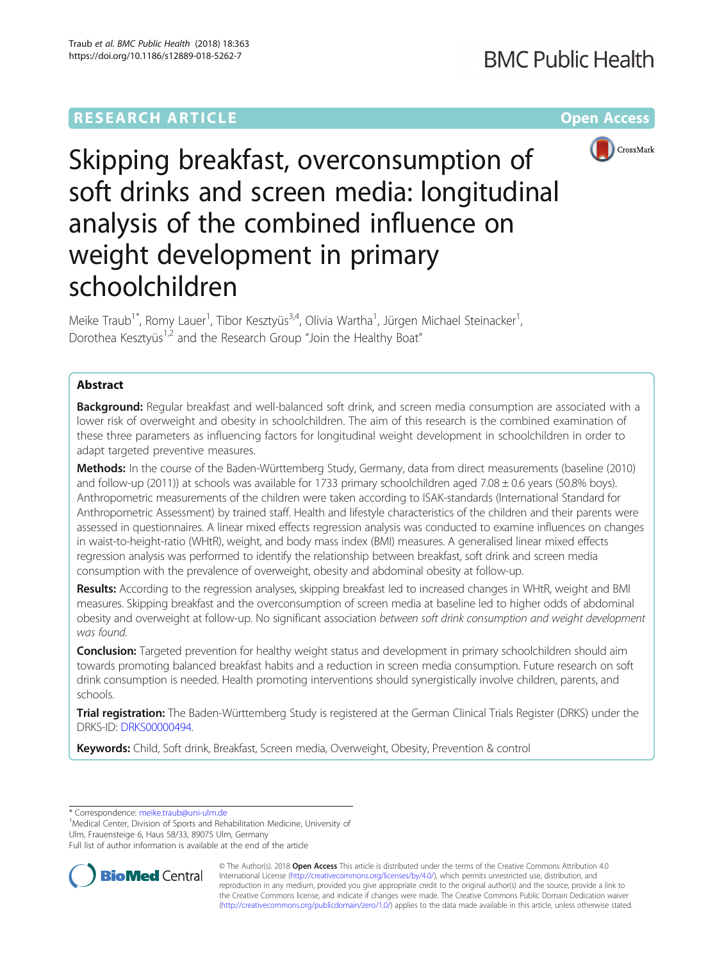

Skipping breakfast, overconsumption of soft drinks and screen media: longitudinal analysis of the combined influence on weight development in primary schoolchildren

Meike Traub<sup>1\*</sup>, Romy Lauer<sup>1</sup>, Tibor Kesztyüs<sup>3,4</sup>, Olivia Wartha<sup>1</sup>, Jürgen Michael Steinacker<sup>1</sup> , Dorothea Kesztyüs<sup>1,2</sup> and the Research Group "Join the Healthy Boat"

# Abstract

**Background:** Regular breakfast and well-balanced soft drink, and screen media consumption are associated with a lower risk of overweight and obesity in schoolchildren. The aim of this research is the combined examination of these three parameters as influencing factors for longitudinal weight development in schoolchildren in order to adapt targeted preventive measures.

Methods: In the course of the Baden-Württemberg Study, Germany, data from direct measurements (baseline (2010) and follow-up (2011)) at schools was available for 1733 primary schoolchildren aged 7.08 ± 0.6 years (50.8% boys). Anthropometric measurements of the children were taken according to ISAK-standards (International Standard for Anthropometric Assessment) by trained staff. Health and lifestyle characteristics of the children and their parents were assessed in questionnaires. A linear mixed effects regression analysis was conducted to examine influences on changes in waist-to-height-ratio (WHtR), weight, and body mass index (BMI) measures. A generalised linear mixed effects regression analysis was performed to identify the relationship between breakfast, soft drink and screen media consumption with the prevalence of overweight, obesity and abdominal obesity at follow-up.

Results: According to the regression analyses, skipping breakfast led to increased changes in WHtR, weight and BMI measures. Skipping breakfast and the overconsumption of screen media at baseline led to higher odds of abdominal obesity and overweight at follow-up. No significant association between soft drink consumption and weight development was found.

**Conclusion:** Targeted prevention for healthy weight status and development in primary schoolchildren should aim towards promoting balanced breakfast habits and a reduction in screen media consumption. Future research on soft drink consumption is needed. Health promoting interventions should synergistically involve children, parents, and schools.

Trial registration: The Baden-Württemberg Study is registered at the German Clinical Trials Register (DRKS) under the DRKS-ID: [DRKS00000494](https://www.drks.de/drks_web/navigate.do?navigationId=trial.HTML&TRIAL_ID=DRKS00000494).

Keywords: Child, Soft drink, Breakfast, Screen media, Overweight, Obesity, Prevention & control

\* Correspondence: [meike.traub@uni-ulm.de](mailto:meike.traub@uni-ulm.de) <sup>1</sup>

<sup>1</sup>Medical Center, Division of Sports and Rehabilitation Medicine, University of Ulm, Frauensteige 6, Haus 58/33, 89075 Ulm, Germany

Full list of author information is available at the end of the article



© The Author(s). 2018 Open Access This article is distributed under the terms of the Creative Commons Attribution 4.0 International License [\(http://creativecommons.org/licenses/by/4.0/](http://creativecommons.org/licenses/by/4.0/)), which permits unrestricted use, distribution, and reproduction in any medium, provided you give appropriate credit to the original author(s) and the source, provide a link to the Creative Commons license, and indicate if changes were made. The Creative Commons Public Domain Dedication waiver [\(http://creativecommons.org/publicdomain/zero/1.0/](http://creativecommons.org/publicdomain/zero/1.0/)) applies to the data made available in this article, unless otherwise stated.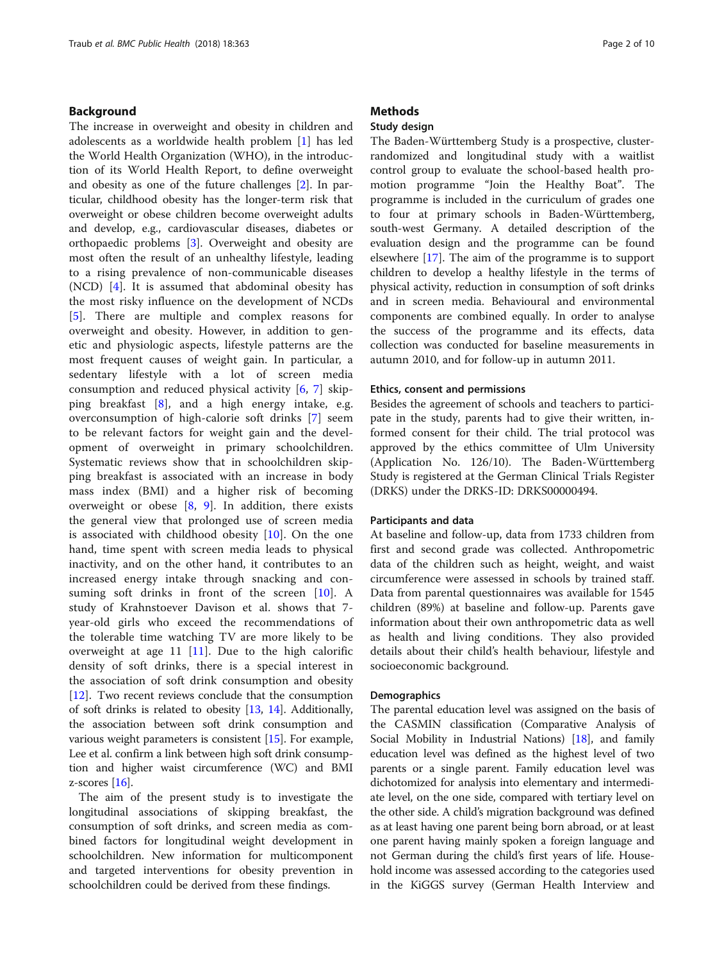# Background

The increase in overweight and obesity in children and adolescents as a worldwide health problem [[1\]](#page-8-0) has led the World Health Organization (WHO), in the introduction of its World Health Report, to define overweight and obesity as one of the future challenges [[2\]](#page-8-0). In particular, childhood obesity has the longer-term risk that overweight or obese children become overweight adults and develop, e.g., cardiovascular diseases, diabetes or orthopaedic problems [[3\]](#page-8-0). Overweight and obesity are most often the result of an unhealthy lifestyle, leading to a rising prevalence of non-communicable diseases (NCD) [\[4](#page-8-0)]. It is assumed that abdominal obesity has the most risky influence on the development of NCDs [[5\]](#page-8-0). There are multiple and complex reasons for overweight and obesity. However, in addition to genetic and physiologic aspects, lifestyle patterns are the most frequent causes of weight gain. In particular, a sedentary lifestyle with a lot of screen media consumption and reduced physical activity [[6,](#page-8-0) [7\]](#page-8-0) skipping breakfast [\[8](#page-8-0)], and a high energy intake, e.g. overconsumption of high-calorie soft drinks [\[7](#page-8-0)] seem to be relevant factors for weight gain and the development of overweight in primary schoolchildren. Systematic reviews show that in schoolchildren skipping breakfast is associated with an increase in body mass index (BMI) and a higher risk of becoming overweight or obese [[8,](#page-8-0) [9\]](#page-8-0). In addition, there exists the general view that prolonged use of screen media is associated with childhood obesity [[10](#page-8-0)]. On the one hand, time spent with screen media leads to physical inactivity, and on the other hand, it contributes to an increased energy intake through snacking and con-suming soft drinks in front of the screen [[10\]](#page-8-0). A study of Krahnstoever Davison et al. shows that 7 year-old girls who exceed the recommendations of the tolerable time watching TV are more likely to be overweight at age 11  $[11]$  $[11]$ . Due to the high calorific density of soft drinks, there is a special interest in the association of soft drink consumption and obesity [[12\]](#page-8-0). Two recent reviews conclude that the consumption of soft drinks is related to obesity [[13](#page-8-0), [14](#page-8-0)]. Additionally, the association between soft drink consumption and various weight parameters is consistent [[15](#page-8-0)]. For example, Lee et al. confirm a link between high soft drink consumption and higher waist circumference (WC) and BMI z-scores  $[16]$  $[16]$  $[16]$ .

The aim of the present study is to investigate the longitudinal associations of skipping breakfast, the consumption of soft drinks, and screen media as combined factors for longitudinal weight development in schoolchildren. New information for multicomponent and targeted interventions for obesity prevention in schoolchildren could be derived from these findings.

# **Methods**

# Study design

The Baden-Württemberg Study is a prospective, clusterrandomized and longitudinal study with a waitlist control group to evaluate the school-based health promotion programme "Join the Healthy Boat". The programme is included in the curriculum of grades one to four at primary schools in Baden-Württemberg, south-west Germany. A detailed description of the evaluation design and the programme can be found elsewhere [[17\]](#page-8-0). The aim of the programme is to support children to develop a healthy lifestyle in the terms of physical activity, reduction in consumption of soft drinks and in screen media. Behavioural and environmental components are combined equally. In order to analyse the success of the programme and its effects, data collection was conducted for baseline measurements in autumn 2010, and for follow-up in autumn 2011.

#### Ethics, consent and permissions

Besides the agreement of schools and teachers to participate in the study, parents had to give their written, informed consent for their child. The trial protocol was approved by the ethics committee of Ulm University (Application No. 126/10). The Baden-Württemberg Study is registered at the German Clinical Trials Register (DRKS) under the DRKS-ID: DRKS00000494.

## Participants and data

At baseline and follow-up, data from 1733 children from first and second grade was collected. Anthropometric data of the children such as height, weight, and waist circumference were assessed in schools by trained staff. Data from parental questionnaires was available for 1545 children (89%) at baseline and follow-up. Parents gave information about their own anthropometric data as well as health and living conditions. They also provided details about their child's health behaviour, lifestyle and socioeconomic background.

#### **Demographics**

The parental education level was assigned on the basis of the CASMIN classification (Comparative Analysis of Social Mobility in Industrial Nations) [\[18](#page-8-0)], and family education level was defined as the highest level of two parents or a single parent. Family education level was dichotomized for analysis into elementary and intermediate level, on the one side, compared with tertiary level on the other side. A child's migration background was defined as at least having one parent being born abroad, or at least one parent having mainly spoken a foreign language and not German during the child's first years of life. Household income was assessed according to the categories used in the KiGGS survey (German Health Interview and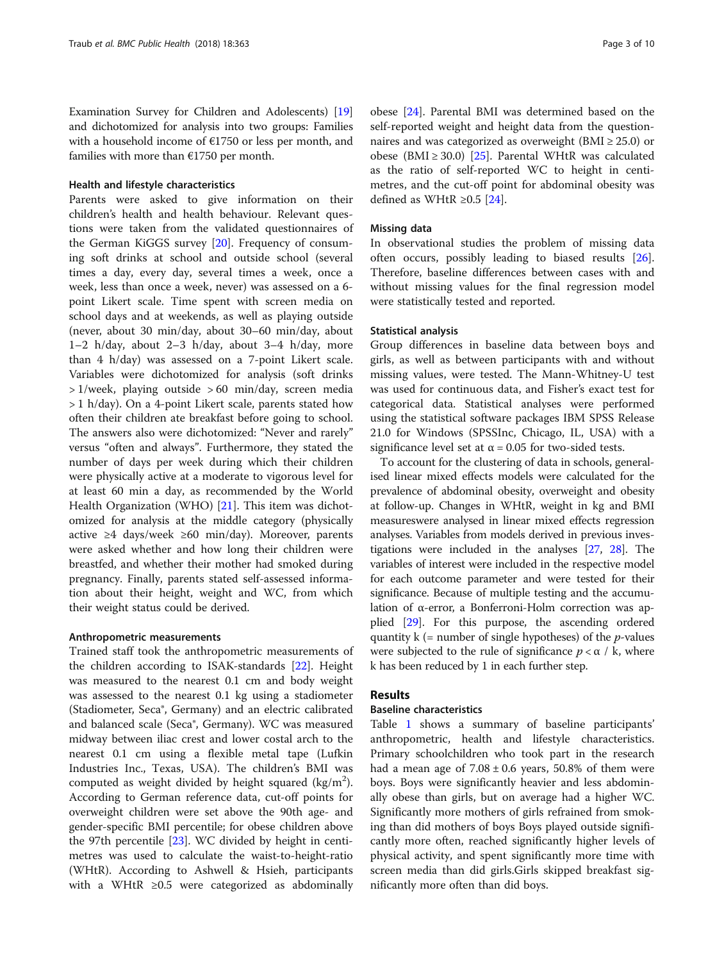Examination Survey for Children and Adolescents) [[19](#page-8-0)] and dichotomized for analysis into two groups: Families with a household income of €1750 or less per month, and families with more than  $E1750$  per month.

#### Health and lifestyle characteristics

Parents were asked to give information on their children's health and health behaviour. Relevant questions were taken from the validated questionnaires of the German KiGGS survey [\[20](#page-8-0)]. Frequency of consuming soft drinks at school and outside school (several times a day, every day, several times a week, once a week, less than once a week, never) was assessed on a 6 point Likert scale. Time spent with screen media on school days and at weekends, as well as playing outside (never, about 30 min/day, about 30–60 min/day, about 1–2 h/day, about 2–3 h/day, about 3–4 h/day, more than 4 h/day) was assessed on a 7-point Likert scale. Variables were dichotomized for analysis (soft drinks > 1/week, playing outside > 60 min/day, screen media > 1 h/day). On a 4-point Likert scale, parents stated how often their children ate breakfast before going to school. The answers also were dichotomized: "Never and rarely" versus "often and always". Furthermore, they stated the number of days per week during which their children were physically active at a moderate to vigorous level for at least 60 min a day, as recommended by the World Health Organization (WHO) [[21\]](#page-8-0). This item was dichotomized for analysis at the middle category (physically active ≥4 days/week ≥60 min/day). Moreover, parents were asked whether and how long their children were breastfed, and whether their mother had smoked during pregnancy. Finally, parents stated self-assessed information about their height, weight and WC, from which their weight status could be derived.

## Anthropometric measurements

Trained staff took the anthropometric measurements of the children according to ISAK-standards [[22\]](#page-8-0). Height was measured to the nearest 0.1 cm and body weight was assessed to the nearest 0.1 kg using a stadiometer (Stadiometer, Seca®, Germany) and an electric calibrated and balanced scale (Seca®, Germany). WC was measured midway between iliac crest and lower costal arch to the nearest 0.1 cm using a flexible metal tape (Lufkin Industries Inc., Texas, USA). The children's BMI was computed as weight divided by height squared (kg/m<sup>2</sup>). According to German reference data, cut-off points for overweight children were set above the 90th age- and gender-specific BMI percentile; for obese children above the 97th percentile [[23\]](#page-8-0). WC divided by height in centimetres was used to calculate the waist-to-height-ratio (WHtR). According to Ashwell & Hsieh, participants with a WHtR ≥0.5 were categorized as abdominally obese [[24\]](#page-8-0). Parental BMI was determined based on the self-reported weight and height data from the questionnaires and was categorized as overweight (BMI  $\geq$  25.0) or obese (BMI ≥ 30.0) [\[25\]](#page-8-0). Parental WHtR was calculated as the ratio of self-reported WC to height in centimetres, and the cut-off point for abdominal obesity was defined as WHtR  $\geq 0.5$  [\[24\]](#page-8-0).

#### Missing data

In observational studies the problem of missing data often occurs, possibly leading to biased results [\[26](#page-8-0)]. Therefore, baseline differences between cases with and without missing values for the final regression model were statistically tested and reported.

## Statistical analysis

Group differences in baseline data between boys and girls, as well as between participants with and without missing values, were tested. The Mann-Whitney-U test was used for continuous data, and Fisher's exact test for categorical data. Statistical analyses were performed using the statistical software packages IBM SPSS Release 21.0 for Windows (SPSSInc, Chicago, IL, USA) with a significance level set at  $\alpha$  = 0.05 for two-sided tests.

To account for the clustering of data in schools, generalised linear mixed effects models were calculated for the prevalence of abdominal obesity, overweight and obesity at follow-up. Changes in WHtR, weight in kg and BMI measureswere analysed in linear mixed effects regression analyses. Variables from models derived in previous investigations were included in the analyses [\[27,](#page-8-0) [28](#page-8-0)]. The variables of interest were included in the respective model for each outcome parameter and were tested for their significance. Because of multiple testing and the accumulation of α-error, a Bonferroni-Holm correction was applied [[29](#page-8-0)]. For this purpose, the ascending ordered quantity  $k$  (= number of single hypotheses) of the *p*-values were subjected to the rule of significance  $p < \alpha / k$ , where k has been reduced by 1 in each further step.

# Results

## Baseline characteristics

Table [1](#page-3-0) shows a summary of baseline participants' anthropometric, health and lifestyle characteristics. Primary schoolchildren who took part in the research had a mean age of  $7.08 \pm 0.6$  years, 50.8% of them were boys. Boys were significantly heavier and less abdominally obese than girls, but on average had a higher WC. Significantly more mothers of girls refrained from smoking than did mothers of boys Boys played outside significantly more often, reached significantly higher levels of physical activity, and spent significantly more time with screen media than did girls.Girls skipped breakfast significantly more often than did boys.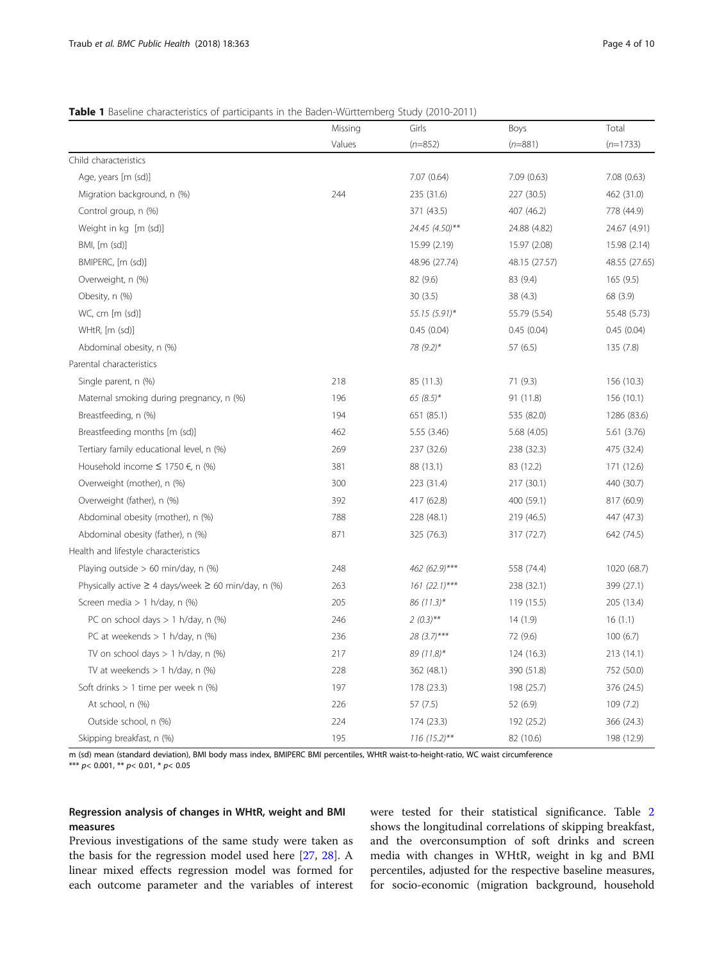# <span id="page-3-0"></span>Table 1 Baseline characteristics of participants in the Baden-Württemberg Study (2010-2011)

|                                                               | Missing | Girls            | Boys          | Total         |
|---------------------------------------------------------------|---------|------------------|---------------|---------------|
|                                                               | Values  | $(n=852)$        | $(n=881)$     | $(n=1733)$    |
| Child characteristics                                         |         |                  |               |               |
| Age, years [m (sd)]                                           |         | 7.07 (0.64)      | 7.09(0.63)    | 7.08(0.63)    |
| Migration background, n (%)                                   | 244     | 235 (31.6)       | 227 (30.5)    | 462 (31.0)    |
| Control group, n (%)                                          |         | 371 (43.5)       | 407 (46.2)    | 778 (44.9)    |
| Weight in kg [m (sd)]                                         |         | 24.45 (4.50)**   | 24.88 (4.82)  | 24.67 (4.91)  |
| BMI, [m (sd)]                                                 |         | 15.99 (2.19)     | 15.97 (2.08)  | 15.98 (2.14)  |
| BMIPERC, [m (sd)]                                             |         | 48.96 (27.74)    | 48.15 (27.57) | 48.55 (27.65) |
| Overweight, n (%)                                             |         | 82 (9.6)         | 83 (9.4)      | 165 (9.5)     |
| Obesity, n (%)                                                |         | 30(3.5)          | 38(4.3)       | 68 (3.9)      |
| WC, cm [m (sd)]                                               |         | $55.15(5.91)$ *  | 55.79 (5.54)  | 55.48 (5.73)  |
| WHtR, [m (sd)]                                                |         | 0.45(0.04)       | 0.45(0.04)    | 0.45(0.04)    |
| Abdominal obesity, n (%)                                      |         | 78 (9.2)*        | 57 (6.5)      | 135 (7.8)     |
| Parental characteristics                                      |         |                  |               |               |
| Single parent, n (%)                                          | 218     | 85 (11.3)        | 71(9.3)       | 156 (10.3)    |
| Maternal smoking during pregnancy, n (%)                      | 196     | 65 (8.5)*        | 91 (11.8)     | 156 (10.1)    |
| Breastfeeding, n (%)                                          | 194     | 651 (85.1)       | 535 (82.0)    | 1286 (83.6)   |
| Breastfeeding months [m (sd)]                                 | 462     | 5.55 (3.46)      | 5.68 (4.05)   | 5.61 (3.76)   |
| Tertiary family educational level, n (%)                      | 269     | 237 (32.6)       | 238 (32.3)    | 475 (32.4)    |
| Household income $\leq 1750 \in$ , n (%)                      | 381     | 88 (13.1)        | 83 (12.2)     | 171 (12.6)    |
| Overweight (mother), n (%)                                    | 300     | 223 (31.4)       | 217 (30.1)    | 440 (30.7)    |
| Overweight (father), n (%)                                    | 392     | 417 (62.8)       | 400 (59.1)    | 817 (60.9)    |
| Abdominal obesity (mother), n (%)                             | 788     | 228 (48.1)       | 219 (46.5)    | 447 (47.3)    |
| Abdominal obesity (father), n (%)                             | 871     | 325 (76.3)       | 317 (72.7)    | 642 (74.5)    |
| Health and lifestyle characteristics                          |         |                  |               |               |
| Playing outside $> 60$ min/day, n (%)                         | 248     | 462 (62.9)***    | 558 (74.4)    | 1020 (68.7)   |
| Physically active $\geq$ 4 days/week $\geq$ 60 min/day, n (%) | 263     | $161 (22.1)$ *** | 238 (32.1)    | 399 (27.1)    |
| Screen media $> 1$ h/day, n (%)                               | 205     | 86 (11.3)*       | 119 (15.5)    | 205 (13.4)    |
| PC on school days $> 1$ h/day, n (%)                          | 246     | $2(0.3)$ **      | 14(1.9)       | 16(1.1)       |
| PC at weekends $> 1$ h/day, n (%)                             | 236     | 28 (3.7)***      | 72 (9.6)      | 100(6.7)      |
| TV on school days $> 1$ h/day, n (%)                          | 217     | $89(11.8)$ *     | 124(16.3)     | 213 (14.1)    |
| TV at weekends $> 1$ h/day, n (%)                             | 228     | 362 (48.1)       | 390 (51.8)    | 752 (50.0)    |
| Soft drinks $> 1$ time per week n $(\%)$                      | 197     | 178 (23.3)       | 198 (25.7)    | 376 (24.5)    |
| At school, n (%)                                              | 226     | 57 (7.5)         | 52 (6.9)      | 109(7.2)      |
| Outside school, n (%)                                         | 224     | 174 (23.3)       | 192 (25.2)    | 366 (24.3)    |
| Skipping breakfast, n (%)                                     | 195     | $116(15.2)$ **   | 82 (10.6)     | 198 (12.9)    |

m (sd) mean (standard deviation), BMI body mass index, BMIPERC BMI percentiles, WHtR waist-to-height-ratio, WC waist circumference

\*\*\*  $p$  < 0.001, \*\*  $p$  < 0.01, \*  $p$  < 0.05

# Regression analysis of changes in WHtR, weight and BMI measures

Previous investigations of the same study were taken as the basis for the regression model used here [\[27](#page-8-0), [28\]](#page-8-0). A linear mixed effects regression model was formed for each outcome parameter and the variables of interest were tested for their statistical significance. Table [2](#page-4-0) shows the longitudinal correlations of skipping breakfast, and the overconsumption of soft drinks and screen media with changes in WHtR, weight in kg and BMI percentiles, adjusted for the respective baseline measures, for socio-economic (migration background, household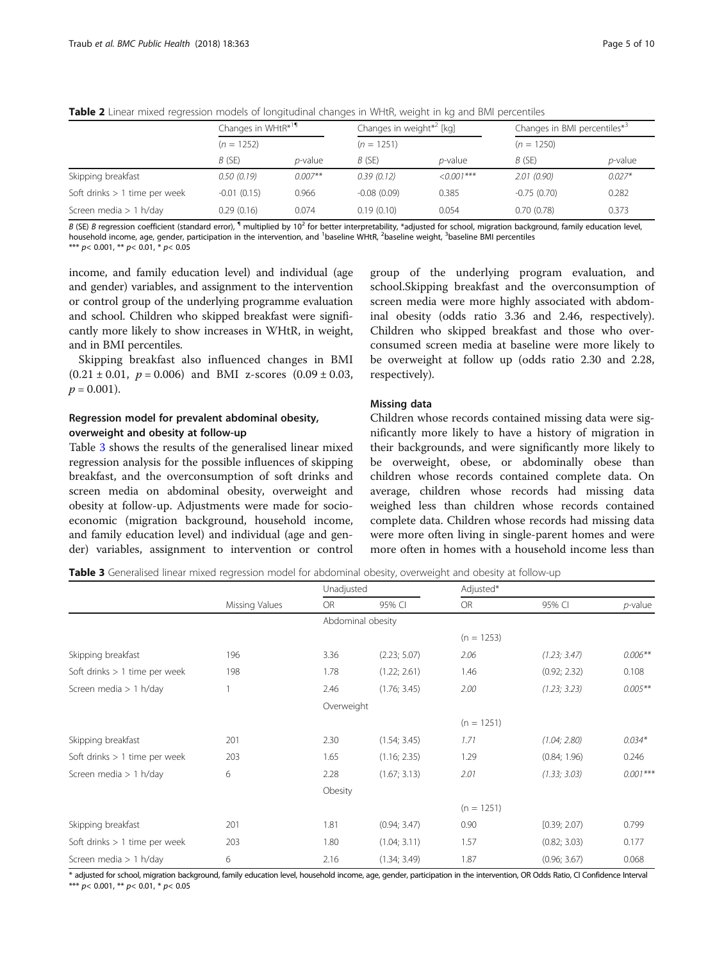|                                 | Changes in WHtR* <sup>1¶</sup> |                 |               | Changes in weight $*^2$ [kg] |               | Changes in BMI percentiles* <sup>3</sup> |  |
|---------------------------------|--------------------------------|-----------------|---------------|------------------------------|---------------|------------------------------------------|--|
|                                 | $(n = 1252)$                   |                 | $(n = 1251)$  |                              | $(n = 1250)$  |                                          |  |
|                                 | $B$ (SE)                       | <i>p</i> -value | B(SE)         | <i>p</i> -value              | $B$ (SE)      | <i>p</i> -value                          |  |
| Skipping breakfast              | 0.50(0.19)                     | $0.007**$       | 0.39(0.12)    | $\leq 0.001$ ***             | 2.01(0.90)    | $0.027*$                                 |  |
| Soft drinks $> 1$ time per week | $-0.01(0.15)$                  | 0.966           | $-0.08(0.09)$ | 0.385                        | $-0.75(0.70)$ | 0.282                                    |  |
| Screen media $> 1$ h/day        | 0.29(0.16)                     | 0.074           | 0.19(0.10)    | 0.054                        | 0.70(0.78)    | 0.373                                    |  |

<span id="page-4-0"></span>Table 2 Linear mixed regression models of longitudinal changes in WHtR, weight in kg and BMI percentiles

B (SE) B regression coefficient (standard error), <sup>1</sup> multiplied by 10<sup>2</sup> for better interpretability, \*adjusted for school, migration background, family education level, household income, age, gender, participation in the intervention, and <sup>1</sup>baseline WHtR, <sup>2</sup>baseline weight, <sup>3</sup>baseline BMI percentiles \*\*\*  $p$  < 0.001, \*\*  $p$  < 0.01, \*  $p$  < 0.05

income, and family education level) and individual (age and gender) variables, and assignment to the intervention or control group of the underlying programme evaluation and school. Children who skipped breakfast were significantly more likely to show increases in WHtR, in weight, and in BMI percentiles.

Skipping breakfast also influenced changes in BMI  $(0.21 \pm 0.01, p = 0.006)$  and BMI z-scores  $(0.09 \pm 0.03,$  $p = 0.001$ ).

# Regression model for prevalent abdominal obesity, overweight and obesity at follow-up

Table 3 shows the results of the generalised linear mixed regression analysis for the possible influences of skipping breakfast, and the overconsumption of soft drinks and screen media on abdominal obesity, overweight and obesity at follow-up. Adjustments were made for socioeconomic (migration background, household income, and family education level) and individual (age and gender) variables, assignment to intervention or control

group of the underlying program evaluation, and school.Skipping breakfast and the overconsumption of screen media were more highly associated with abdominal obesity (odds ratio 3.36 and 2.46, respectively). Children who skipped breakfast and those who overconsumed screen media at baseline were more likely to be overweight at follow up (odds ratio 2.30 and 2.28, respectively).

# Missing data

Children whose records contained missing data were significantly more likely to have a history of migration in their backgrounds, and were significantly more likely to be overweight, obese, or abdominally obese than children whose records contained complete data. On average, children whose records had missing data weighed less than children whose records contained complete data. Children whose records had missing data were more often living in single-parent homes and were more often in homes with a household income less than

Table 3 Generalised linear mixed regression model for abdominal obesity, overweight and obesity at follow-up

|                                 | Missing Values | Unadjusted        |              | Adjusted*    |              |            |  |
|---------------------------------|----------------|-------------------|--------------|--------------|--------------|------------|--|
|                                 |                | <b>OR</b>         | 95% CI       | OR           | 95% CI       | $p$ -value |  |
|                                 |                | Abdominal obesity |              |              |              |            |  |
|                                 |                |                   |              | $(n = 1253)$ |              |            |  |
| Skipping breakfast              | 196            | 3.36              | (2.23; 5.07) | 2.06         | (1.23; 3.47) | $0.006***$ |  |
| Soft drinks $> 1$ time per week | 198            | 1.78              | (1.22; 2.61) | 1.46         | (0.92; 2.32) | 0.108      |  |
| Screen media $> 1$ h/day        |                | 2.46              | (1.76; 3.45) | 2.00         | (1.23; 3.23) | $0.005***$ |  |
|                                 |                | Overweight        |              |              |              |            |  |
|                                 |                |                   |              | $(n = 1251)$ |              |            |  |
| Skipping breakfast              | 201            | 2.30              | (1.54; 3.45) | 1.71         | (1.04; 2.80) | $0.034*$   |  |
| Soft drinks $> 1$ time per week | 203            | 1.65              | (1.16; 2.35) | 1.29         | (0.84; 1.96) | 0.246      |  |
| Screen media $> 1$ h/day        | 6              | 2.28              | (1.67; 3.13) | 2.01         | (1.33; 3.03) | $0.001***$ |  |
|                                 |                | Obesity           |              |              |              |            |  |
|                                 |                |                   |              | $(n = 1251)$ |              |            |  |
| Skipping breakfast              | 201            | 1.81              | (0.94; 3.47) | 0.90         | [0.39; 2.07) | 0.799      |  |
| Soft drinks $> 1$ time per week | 203            | 1.80              | (1.04; 3.11) | 1.57         | (0.82; 3.03) | 0.177      |  |
| Screen media $> 1$ h/day        | 6              | 2.16              | (1.34; 3.49) | 1.87         | (0.96; 3.67) | 0.068      |  |

\* adjusted for school, migration background, family education level, household income, age, gender, participation in the intervention, OR Odds Ratio, CI Confidence Interval \*\*\*  $p$  < 0.001, \*\*  $p$  < 0.01, \*  $p$  < 0.05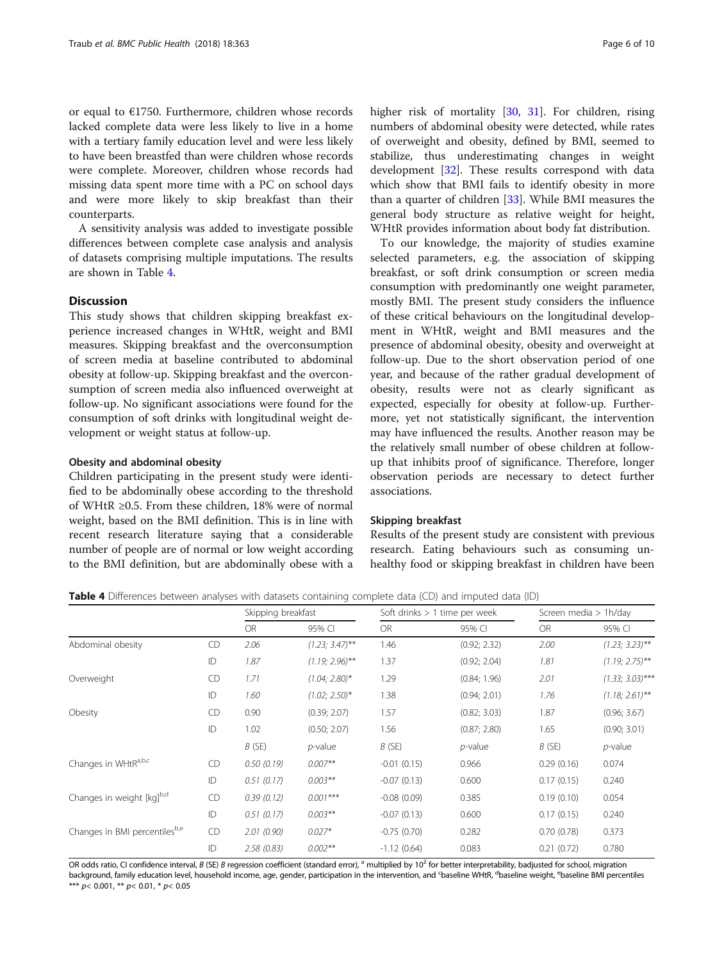or equal to €1750. Furthermore, children whose records lacked complete data were less likely to live in a home with a tertiary family education level and were less likely to have been breastfed than were children whose records were complete. Moreover, children whose records had missing data spent more time with a PC on school days and were more likely to skip breakfast than their counterparts.

A sensitivity analysis was added to investigate possible differences between complete case analysis and analysis of datasets comprising multiple imputations. The results are shown in Table 4.

## Discussion

This study shows that children skipping breakfast experience increased changes in WHtR, weight and BMI measures. Skipping breakfast and the overconsumption of screen media at baseline contributed to abdominal obesity at follow-up. Skipping breakfast and the overconsumption of screen media also influenced overweight at follow-up. No significant associations were found for the consumption of soft drinks with longitudinal weight development or weight status at follow-up.

## Obesity and abdominal obesity

Children participating in the present study were identified to be abdominally obese according to the threshold of WHtR ≥0.5. From these children, 18% were of normal weight, based on the BMI definition. This is in line with recent research literature saying that a considerable number of people are of normal or low weight according to the BMI definition, but are abdominally obese with a higher risk of mortality [[30](#page-8-0), [31](#page-8-0)]. For children, rising numbers of abdominal obesity were detected, while rates of overweight and obesity, defined by BMI, seemed to stabilize, thus underestimating changes in weight development [[32](#page-8-0)]. These results correspond with data which show that BMI fails to identify obesity in more than a quarter of children [\[33](#page-8-0)]. While BMI measures the general body structure as relative weight for height, WHtR provides information about body fat distribution.

To our knowledge, the majority of studies examine selected parameters, e.g. the association of skipping breakfast, or soft drink consumption or screen media consumption with predominantly one weight parameter, mostly BMI. The present study considers the influence of these critical behaviours on the longitudinal development in WHtR, weight and BMI measures and the presence of abdominal obesity, obesity and overweight at follow-up. Due to the short observation period of one year, and because of the rather gradual development of obesity, results were not as clearly significant as expected, especially for obesity at follow-up. Furthermore, yet not statistically significant, the intervention may have influenced the results. Another reason may be the relatively small number of obese children at followup that inhibits proof of significance. Therefore, longer observation periods are necessary to detect further associations.

## Skipping breakfast

Results of the present study are consistent with previous research. Eating behaviours such as consuming unhealthy food or skipping breakfast in children have been

Table 4 Differences between analyses with datasets containing complete data (CD) and imputed data (ID)

|                               |    | Skipping breakfast |                   | Soft drinks $> 1$ time per week |              | Screen media > 1h/day |                    |
|-------------------------------|----|--------------------|-------------------|---------------------------------|--------------|-----------------------|--------------------|
|                               |    | <b>OR</b>          | 95% CI            | <b>OR</b>                       | 95% CI       | <b>OR</b>             | 95% CI             |
| Abdominal obesity             | CD | 2.06               | $(1.23; 3.47)$ ** | 1.46                            | (0.92; 2.32) | 2.00                  | $(1.23; 3.23)$ **  |
|                               | ID | 1.87               | $(1.19; 2.96)$ ** | 1.37                            | (0.92; 2.04) | 1.81                  | $(1.19; 2.75)$ **  |
| Overweight                    | CD | 1.71               | $(1.04; 2.80)^*$  | 1.29                            | (0.84; 1.96) | 2.01                  | $(1.33; 3.03)$ *** |
|                               | ID | 1.60               | $(1.02; 2.50)$ *  | 1.38                            | (0.94; 2.01) | 1.76                  | $(1.18; 2.61)$ **  |
| Obesity                       | CD | 0.90               | (0.39; 2.07)      | 1.57                            | (0.82; 3.03) | 1.87                  | (0.96; 3.67)       |
|                               | ID | 1.02               | (0.50; 2.07)      | 1.56                            | (0.87; 2.80) | 1.65                  | (0.90; 3.01)       |
|                               |    | $B$ (SE)           | $p$ -value        | B(SE)                           | $p$ -value   | B(SE)                 | $p$ -value         |
| Changes in WHtRa,b,c          | CD | 0.50(0.19)         | $0.007**$         | $-0.01(0.15)$                   | 0.966        | 0.29(0.16)            | 0.074              |
|                               | ID | 0.51(0.17)         | $0.003***$        | $-0.07(0.13)$                   | 0.600        | 0.17(0.15)            | 0.240              |
| Changes in weight [kg]b,d     | CD | 0.39(0.12)         | $0.001***$        | $-0.08(0.09)$                   | 0.385        | 0.19(0.10)            | 0.054              |
|                               | ID | 0.51(0.17)         | $0.003***$        | $-0.07(0.13)$                   | 0.600        | 0.17(0.15)            | 0.240              |
| Changes in BMI percentilesb,e | CD | 2.01(0.90)         | $0.027*$          | $-0.75(0.70)$                   | 0.282        | 0.70(0.78)            | 0.373              |
|                               | ID | 2.58(0.83)         | $0.002**$         | $-1.12(0.64)$                   | 0.083        | 0.21(0.72)            | 0.780              |

OR odds ratio, CI confidence interval, B (SE) B regression coefficient (standard error), <sup>a</sup> multiplied by 10<sup>2</sup> for better interpretability, badjusted for school, migration background, family education level, household income, age, gender, participation in the intervention, and <sup>c</sup>baseline WHtR, <sup>d</sup>baseline weight, <sup>e</sup>baseline BMI percentiles \*\*\*  $p$  < 0.001, \*\*  $p$  < 0.01, \*  $p$  < 0.05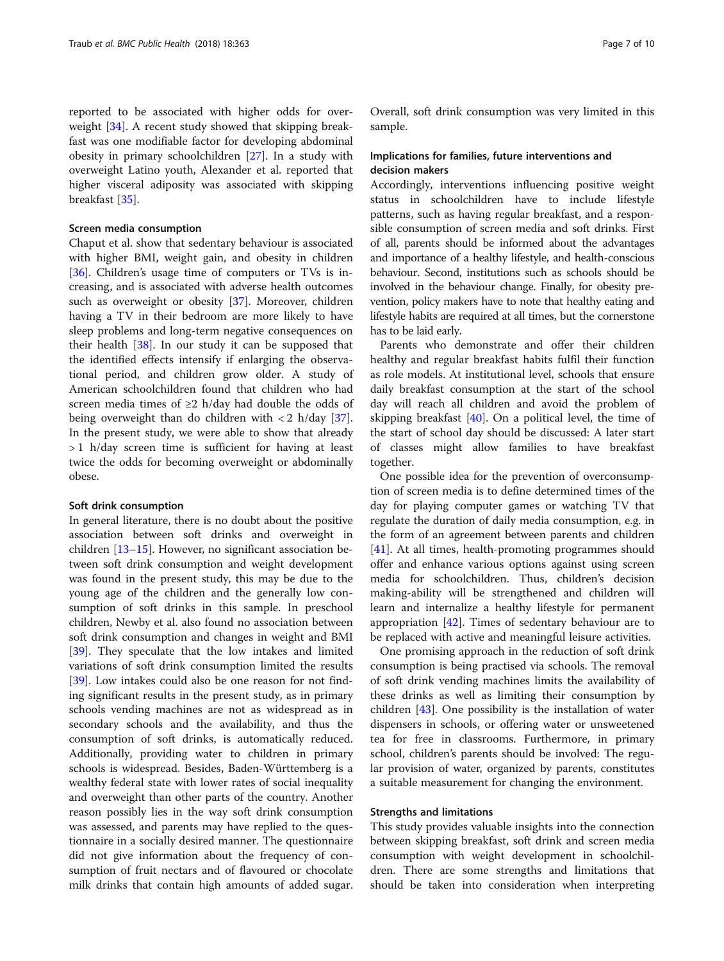reported to be associated with higher odds for overweight [\[34](#page-8-0)]. A recent study showed that skipping breakfast was one modifiable factor for developing abdominal obesity in primary schoolchildren [\[27](#page-8-0)]. In a study with overweight Latino youth, Alexander et al. reported that higher visceral adiposity was associated with skipping breakfast [[35](#page-8-0)].

## Screen media consumption

Chaput et al. show that sedentary behaviour is associated with higher BMI, weight gain, and obesity in children [[36\]](#page-8-0). Children's usage time of computers or TVs is increasing, and is associated with adverse health outcomes such as overweight or obesity [\[37](#page-8-0)]. Moreover, children having a TV in their bedroom are more likely to have sleep problems and long-term negative consequences on their health  $[38]$  $[38]$ . In our study it can be supposed that the identified effects intensify if enlarging the observational period, and children grow older. A study of American schoolchildren found that children who had screen media times of ≥2 h/day had double the odds of being overweight than do children with  $\langle 2 \text{ h}/\text{day} \space |37]$ . In the present study, we were able to show that already > 1 h/day screen time is sufficient for having at least twice the odds for becoming overweight or abdominally obese.

#### Soft drink consumption

In general literature, there is no doubt about the positive association between soft drinks and overweight in children [\[13](#page-8-0)–[15\]](#page-8-0). However, no significant association between soft drink consumption and weight development was found in the present study, this may be due to the young age of the children and the generally low consumption of soft drinks in this sample. In preschool children, Newby et al. also found no association between soft drink consumption and changes in weight and BMI [[39\]](#page-8-0). They speculate that the low intakes and limited variations of soft drink consumption limited the results [[39\]](#page-8-0). Low intakes could also be one reason for not finding significant results in the present study, as in primary schools vending machines are not as widespread as in secondary schools and the availability, and thus the consumption of soft drinks, is automatically reduced. Additionally, providing water to children in primary schools is widespread. Besides, Baden-Württemberg is a wealthy federal state with lower rates of social inequality and overweight than other parts of the country. Another reason possibly lies in the way soft drink consumption was assessed, and parents may have replied to the questionnaire in a socially desired manner. The questionnaire did not give information about the frequency of consumption of fruit nectars and of flavoured or chocolate milk drinks that contain high amounts of added sugar. Overall, soft drink consumption was very limited in this sample.

## Implications for families, future interventions and decision makers

Accordingly, interventions influencing positive weight status in schoolchildren have to include lifestyle patterns, such as having regular breakfast, and a responsible consumption of screen media and soft drinks. First of all, parents should be informed about the advantages and importance of a healthy lifestyle, and health-conscious behaviour. Second, institutions such as schools should be involved in the behaviour change. Finally, for obesity prevention, policy makers have to note that healthy eating and lifestyle habits are required at all times, but the cornerstone has to be laid early.

Parents who demonstrate and offer their children healthy and regular breakfast habits fulfil their function as role models. At institutional level, schools that ensure daily breakfast consumption at the start of the school day will reach all children and avoid the problem of skipping breakfast  $[40]$  $[40]$ . On a political level, the time of the start of school day should be discussed: A later start of classes might allow families to have breakfast together.

One possible idea for the prevention of overconsumption of screen media is to define determined times of the day for playing computer games or watching TV that regulate the duration of daily media consumption, e.g. in the form of an agreement between parents and children [[41\]](#page-9-0). At all times, health-promoting programmes should offer and enhance various options against using screen media for schoolchildren. Thus, children's decision making-ability will be strengthened and children will learn and internalize a healthy lifestyle for permanent appropriation [\[42](#page-9-0)]. Times of sedentary behaviour are to be replaced with active and meaningful leisure activities.

One promising approach in the reduction of soft drink consumption is being practised via schools. The removal of soft drink vending machines limits the availability of these drinks as well as limiting their consumption by children [\[43\]](#page-9-0). One possibility is the installation of water dispensers in schools, or offering water or unsweetened tea for free in classrooms. Furthermore, in primary school, children's parents should be involved: The regular provision of water, organized by parents, constitutes a suitable measurement for changing the environment.

## Strengths and limitations

This study provides valuable insights into the connection between skipping breakfast, soft drink and screen media consumption with weight development in schoolchildren. There are some strengths and limitations that should be taken into consideration when interpreting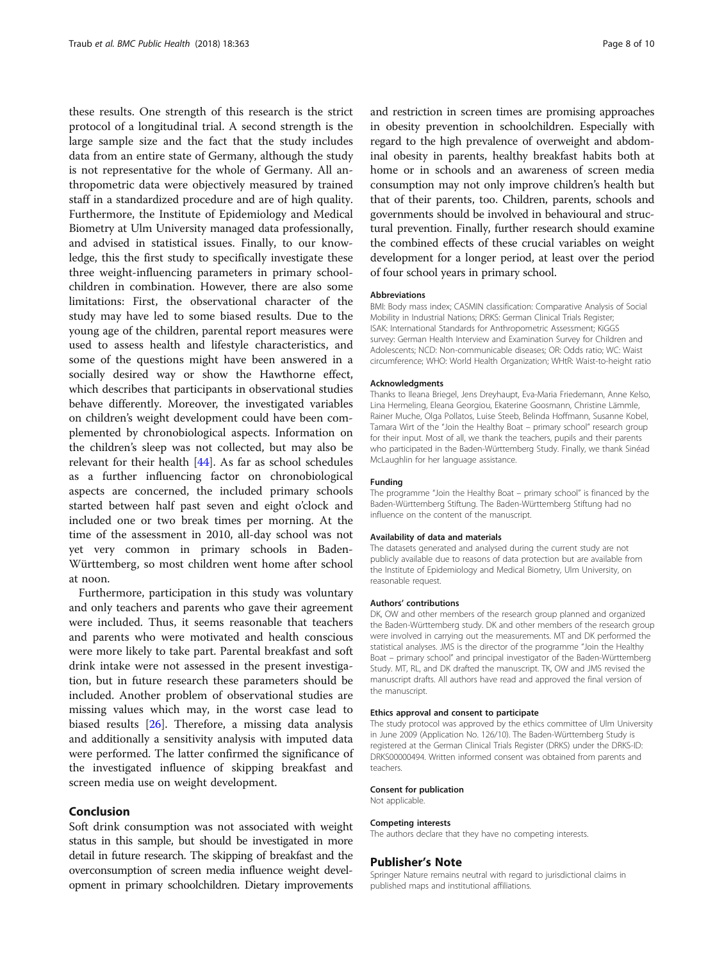these results. One strength of this research is the strict protocol of a longitudinal trial. A second strength is the large sample size and the fact that the study includes data from an entire state of Germany, although the study is not representative for the whole of Germany. All anthropometric data were objectively measured by trained staff in a standardized procedure and are of high quality. Furthermore, the Institute of Epidemiology and Medical Biometry at Ulm University managed data professionally, and advised in statistical issues. Finally, to our knowledge, this the first study to specifically investigate these three weight-influencing parameters in primary schoolchildren in combination. However, there are also some limitations: First, the observational character of the study may have led to some biased results. Due to the young age of the children, parental report measures were used to assess health and lifestyle characteristics, and some of the questions might have been answered in a socially desired way or show the Hawthorne effect, which describes that participants in observational studies behave differently. Moreover, the investigated variables on children's weight development could have been complemented by chronobiological aspects. Information on the children's sleep was not collected, but may also be relevant for their health [\[44](#page-9-0)]. As far as school schedules as a further influencing factor on chronobiological aspects are concerned, the included primary schools started between half past seven and eight o'clock and included one or two break times per morning. At the time of the assessment in 2010, all-day school was not yet very common in primary schools in Baden-Württemberg, so most children went home after school at noon.

Furthermore, participation in this study was voluntary and only teachers and parents who gave their agreement were included. Thus, it seems reasonable that teachers and parents who were motivated and health conscious were more likely to take part. Parental breakfast and soft drink intake were not assessed in the present investigation, but in future research these parameters should be included. Another problem of observational studies are missing values which may, in the worst case lead to biased results [[26\]](#page-8-0). Therefore, a missing data analysis and additionally a sensitivity analysis with imputed data were performed. The latter confirmed the significance of the investigated influence of skipping breakfast and screen media use on weight development.

## Conclusion

Soft drink consumption was not associated with weight status in this sample, but should be investigated in more detail in future research. The skipping of breakfast and the overconsumption of screen media influence weight development in primary schoolchildren. Dietary improvements and restriction in screen times are promising approaches in obesity prevention in schoolchildren. Especially with regard to the high prevalence of overweight and abdominal obesity in parents, healthy breakfast habits both at home or in schools and an awareness of screen media consumption may not only improve children's health but that of their parents, too. Children, parents, schools and governments should be involved in behavioural and structural prevention. Finally, further research should examine the combined effects of these crucial variables on weight development for a longer period, at least over the period of four school years in primary school.

#### Abbreviations

BMI: Body mass index; CASMIN classification: Comparative Analysis of Social Mobility in Industrial Nations; DRKS: German Clinical Trials Register; ISAK: International Standards for Anthropometric Assessment; KiGGS survey: German Health Interview and Examination Survey for Children and Adolescents; NCD: Non-communicable diseases; OR: Odds ratio; WC: Waist circumference; WHO: World Health Organization; WHtR: Waist-to-height ratio

#### Acknowledgments

Thanks to Ileana Briegel, Jens Dreyhaupt, Eva-Maria Friedemann, Anne Kelso, Lina Hermeling, Eleana Georgiou, Ekaterine Goosmann, Christine Lämmle, Rainer Muche, Olga Pollatos, Luise Steeb, Belinda Hoffmann, Susanne Kobel, Tamara Wirt of the "Join the Healthy Boat – primary school" research group for their input. Most of all, we thank the teachers, pupils and their parents who participated in the Baden-Württemberg Study. Finally, we thank Sinéad McLaughlin for her language assistance.

#### Funding

The programme "Join the Healthy Boat – primary school" is financed by the Baden-Württemberg Stiftung. The Baden-Württemberg Stiftung had no influence on the content of the manuscript.

#### Availability of data and materials

The datasets generated and analysed during the current study are not publicly available due to reasons of data protection but are available from the Institute of Epidemiology and Medical Biometry, Ulm University, on reasonable request.

#### Authors' contributions

DK, OW and other members of the research group planned and organized the Baden-Württemberg study. DK and other members of the research group were involved in carrying out the measurements. MT and DK performed the statistical analyses. JMS is the director of the programme "Join the Healthy Boat – primary school" and principal investigator of the Baden-Württemberg Study. MT, RL, and DK drafted the manuscript. TK, OW and JMS revised the manuscript drafts. All authors have read and approved the final version of the manuscript.

#### Ethics approval and consent to participate

The study protocol was approved by the ethics committee of Ulm University in June 2009 (Application No. 126/10). The Baden-Württemberg Study is registered at the German Clinical Trials Register (DRKS) under the DRKS-ID: DRKS00000494. Written informed consent was obtained from parents and teachers.

#### Consent for publication

Not applicable.

#### Competing interests

The authors declare that they have no competing interests.

#### Publisher's Note

Springer Nature remains neutral with regard to jurisdictional claims in published maps and institutional affiliations.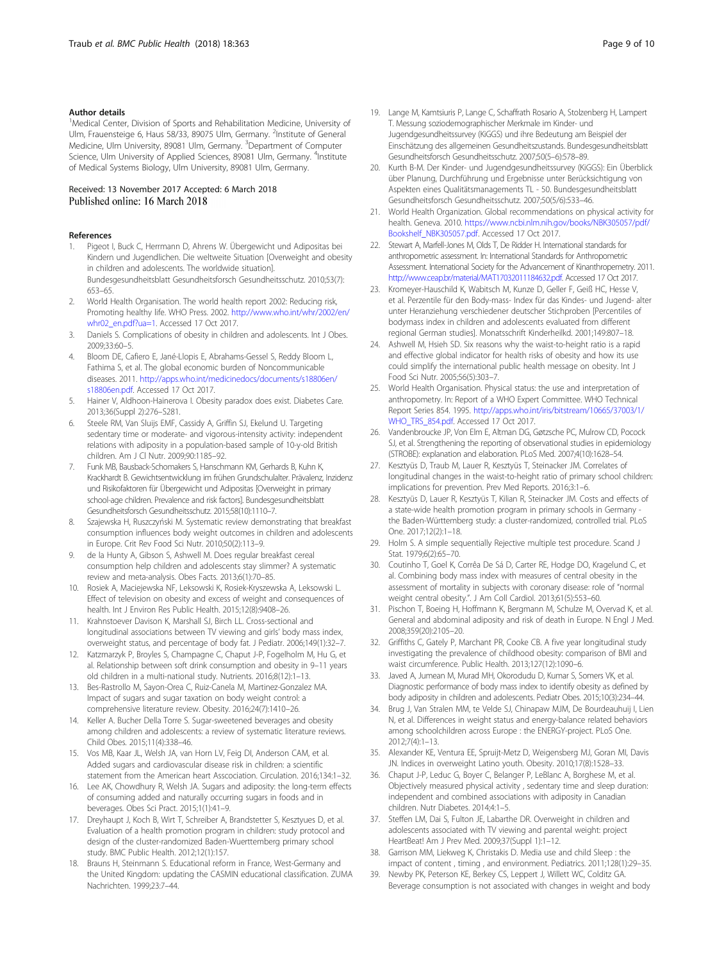#### <span id="page-8-0"></span>Author details

<sup>1</sup>Medical Center, Division of Sports and Rehabilitation Medicine, University of Ulm, Frauensteige 6, Haus 58/33, 89075 Ulm, Germany. <sup>2</sup>Institute of General Medicine, Ulm University, 89081 Ulm, Germany. <sup>3</sup>Department of Computer Science, Ulm University of Applied Sciences, 89081 Ulm, Germany. <sup>4</sup>Institute of Medical Systems Biology, Ulm University, 89081 Ulm, Germany.

# Received: 13 November 2017 Accepted: 6 March 2018

#### References

- 1. Pigeot I, Buck C, Herrmann D, Ahrens W. Übergewicht und Adipositas bei Kindern und Jugendlichen. Die weltweite Situation [Overweight and obesity in children and adolescents. The worldwide situation]. Bundesgesundheitsblatt Gesundheitsforsch Gesundheitsschutz. 2010;53(7): 653–65.
- 2. World Health Organisation. The world health report 2002: Reducing risk, Promoting healthy life. WHO Press. 2002. [http://www.who.int/whr/2002/en/](http://www.who.int/whr/2002/en/whr02_en.pdf?ua=1) [whr02\\_en.pdf?ua=1](http://www.who.int/whr/2002/en/whr02_en.pdf?ua=1). Accessed 17 Oct 2017.
- 3. Daniels S. Complications of obesity in children and adolescents. Int J Obes. 2009;33:60–5.
- 4. Bloom DE, Cafiero E, Jané-Llopis E, Abrahams-Gessel S, Reddy Bloom L, Fathima S, et al. The global economic burden of Noncommunicable diseases. 2011. [http://apps.who.int/medicinedocs/documents/s18806en/](http://apps.who.int/medicinedocs/documents/s18806en/s18806en.pdf) [s18806en.pdf](http://apps.who.int/medicinedocs/documents/s18806en/s18806en.pdf). Accessed 17 Oct 2017.
- 5. Hainer V, Aldhoon-Hainerova I. Obesity paradox does exist. Diabetes Care. 2013;36(Suppl 2):276–S281.
- 6. Steele RM, Van Sluijs EMF, Cassidy A, Griffin SJ, Ekelund U. Targeting sedentary time or moderate- and vigorous-intensity activity: independent relations with adiposity in a population-based sample of 10-y-old British children. Am J Cl Nutr. 2009;90:1185–92.
- 7. Funk MB, Bausback-Schomakers S, Hanschmann KM, Gerhards B, Kuhn K, Krackhardt B. Gewichtsentwicklung im frühen Grundschulalter. Prävalenz, Inzidenz und Risikofaktoren für Übergewicht und Adipositas [Overweight in primary school-age children. Prevalence and risk factors]. Bundesgesundheitsblatt Gesundheitsforsch Gesundheitsschutz. 2015;58(10):1110–7.
- Szajewska H, Ruszczyński M. Systematic review demonstrating that breakfast consumption influences body weight outcomes in children and adolescents in Europe. Crit Rev Food Sci Nutr. 2010;50(2):113–9.
- 9. de la Hunty A, Gibson S, Ashwell M. Does regular breakfast cereal consumption help children and adolescents stay slimmer? A systematic review and meta-analysis. Obes Facts. 2013;6(1):70–85.
- 10. Rosiek A, Maciejewska NF, Leksowski K, Rosiek-Kryszewska A, Leksowski L. Effect of television on obesity and excess of weight and consequences of health. Int J Environ Res Public Health. 2015;12(8):9408–26.
- 11. Krahnstoever Davison K, Marshall SJ, Birch LL. Cross-sectional and longitudinal associations between TV viewing and girls' body mass index, overweight status, and percentage of body fat. J Pediatr. 2006;149(1):32–7.
- 12. Katzmarzyk P, Broyles S, Champagne C, Chaput J-P, Fogelholm M, Hu G, et al. Relationship between soft drink consumption and obesity in 9–11 years old children in a multi-national study. Nutrients. 2016;8(12):1–13.
- 13. Bes-Rastrollo M, Sayon-Orea C, Ruiz-Canela M, Martinez-Gonzalez MA. Impact of sugars and sugar taxation on body weight control: a comprehensive literature review. Obesity. 2016;24(7):1410–26.
- 14. Keller A. Bucher Della Torre S. Sugar-sweetened beverages and obesity among children and adolescents: a review of systematic literature reviews. Child Obes. 2015;11(4):338–46.
- 15. Vos MB, Kaar JL, Welsh JA, van Horn LV, Feig DI, Anderson CAM, et al. Added sugars and cardiovascular disease risk in children: a scientific statement from the American heart Asscociation. Circulation. 2016;134:1–32.
- 16. Lee AK, Chowdhury R, Welsh JA. Sugars and adiposity: the long-term effects of consuming added and naturally occurring sugars in foods and in beverages. Obes Sci Pract. 2015;1(1):41–9.
- 17. Dreyhaupt J, Koch B, Wirt T, Schreiber A, Brandstetter S, Kesztyues D, et al. Evaluation of a health promotion program in children: study protocol and design of the cluster-randomized Baden-Wuerttemberg primary school study. BMC Public Health. 2012;12(1):157.
- 18. Brauns H, Steinmann S. Educational reform in France, West-Germany and the United Kingdom: updating the CASMIN educational classification. ZUMA Nachrichten. 1999;23:7–44.
- 19. Lange M, Kamtsiuris P, Lange C, Schaffrath Rosario A, Stolzenberg H, Lampert T. Messung soziodemographischer Merkmale im Kinder- und Jugendgesundheitssurvey (KiGGS) und ihre Bedeutung am Beispiel der Einschätzung des allgemeinen Gesundheitszustands. Bundesgesundheitsblatt Gesundheitsforsch Gesundheitsschutz. 2007;50(5–6):578–89.
- 20. Kurth B-M. Der Kinder- und Jugendgesundheitssurvey (KiGGS): Ein Überblick über Planung, Durchführung und Ergebnisse unter Berücksichtigung von Aspekten eines Qualitätsmanagements TL - 50. Bundesgesundheitsblatt Gesundheitsforsch Gesundheitsschutz. 2007;50(5/6):533–46.
- 21. World Health Organization. Global recommendations on physical activity for health. Geneva. 2010. [https://www.ncbi.nlm.nih.gov/books/NBK305057/pdf/](https://www.ncbi.nlm.nih.gov/books/NBK305057/pdf/Bookshelf_NBK305057.pdf) [Bookshelf\\_NBK305057.pdf](https://www.ncbi.nlm.nih.gov/books/NBK305057/pdf/Bookshelf_NBK305057.pdf). Accessed 17 Oct 2017.
- 22. Stewart A, Marfell-Jones M, Olds T, De Ridder H. International standards for anthropometric assessment. In: International Standards for Anthropometric Assessment. International Society for the Advancement of Kinanthropemetry. 2011. <http://www.ceap.br/material/MAT17032011184632.pdf>. Accessed 17 Oct 2017.
- 23. Kromeyer-Hauschild K, Wabitsch M, Kunze D, Geller F, Geiß HC, Hesse V, et al. Perzentile für den Body-mass- Index für das Kindes- und Jugend- alter unter Heranziehung verschiedener deutscher Stichproben [Percentiles of bodymass index in children and adolescents evaluated from different regional German studies]. Monatsschrift Kinderheilkd. 2001;149:807–18.
- 24. Ashwell M, Hsieh SD. Six reasons why the waist-to-height ratio is a rapid and effective global indicator for health risks of obesity and how its use could simplify the international public health message on obesity. Int J Food Sci Nutr. 2005;56(5):303–7.
- 25. World Health Organisation. Physical status: the use and interpretation of anthropometry. In: Report of a WHO Expert Committee. WHO Technical Report Series 854. 1995. [http://apps.who.int/iris/bitstream/10665/37003/1/](http://apps.who.int/iris/bitstream/10665/37003/1/WHO_TRS_854.pdf) [WHO\\_TRS\\_854.pdf.](http://apps.who.int/iris/bitstream/10665/37003/1/WHO_TRS_854.pdf) Accessed 17 Oct 2017.
- 26. Vandenbroucke JP, Von Elm E, Altman DG, Gøtzsche PC, Mulrow CD, Pocock SJ, et al. Strengthening the reporting of observational studies in epidemiology (STROBE): explanation and elaboration. PLoS Med. 2007;4(10):1628–54.
- 27. Kesztyüs D, Traub M, Lauer R, Kesztyüs T, Steinacker JM. Correlates of longitudinal changes in the waist-to-height ratio of primary school children: implications for prevention. Prev Med Reports. 2016;3:1–6.
- 28. Kesztyüs D, Lauer R, Kesztyüs T, Kilian R, Steinacker JM. Costs and effects of a state-wide health promotion program in primary schools in Germany the Baden-Württemberg study: a cluster-randomized, controlled trial. PLoS One. 2017;12(2):1–18.
- 29. Holm S. A simple sequentially Rejective multiple test procedure. Scand J Stat. 1979;6(2):65–70.
- 30. Coutinho T, Goel K, Corrêa De Sá D, Carter RE, Hodge DO, Kragelund C, et al. Combining body mass index with measures of central obesity in the assessment of mortality in subjects with coronary disease: role of "normal weight central obesity.". J Am Coll Cardiol. 2013;61(5):553–60.
- 31. Pischon T, Boeing H, Hoffmann K, Bergmann M, Schulze M, Overvad K, et al. General and abdominal adiposity and risk of death in Europe. N Engl J Med. 2008;359(20):2105–20.
- 32. Griffiths C, Gately P, Marchant PR, Cooke CB. A five year longitudinal study investigating the prevalence of childhood obesity: comparison of BMI and waist circumference. Public Health. 2013;127(12):1090–6.
- 33. Javed A, Jumean M, Murad MH, Okorodudu D, Kumar S, Somers VK, et al. Diagnostic performance of body mass index to identify obesity as defined by body adiposity in children and adolescents. Pediatr Obes. 2015;10(3):234–44.
- 34. Brug J, Van Stralen MM, te Velde SJ, Chinapaw MJM, De Bourdeauhuij I, Lien N, et al. Differences in weight status and energy-balance related behaviors among schoolchildren across Europe : the ENERGY-project. PLoS One. 2012;7(4):1–13.
- 35. Alexander KE, Ventura EE, Spruijt-Metz D, Weigensberg MJ, Goran MI, Davis JN. Indices in overweight Latino youth. Obesity. 2010;17(8):1528–33.
- 36. Chaput J-P, Leduc G, Boyer C, Belanger P, LeBlanc A, Borghese M, et al. Objectively measured physical activity , sedentary time and sleep duration: independent and combined associations with adiposity in Canadian children. Nutr Diabetes. 2014;4:1–5.
- 37. Steffen LM, Dai S, Fulton JE, Labarthe DR. Overweight in children and adolescents associated with TV viewing and parental weight: project HeartBeat! Am J Prev Med. 2009;37(Suppl 1):1–12.
- Garrison MM, Liekweg K, Christakis D. Media use and child Sleep : the impact of content , timing , and environment. Pediatrics. 2011;128(1):29–35.
- 39. Newby PK, Peterson KE, Berkey CS, Leppert J, Willett WC, Colditz GA. Beverage consumption is not associated with changes in weight and body